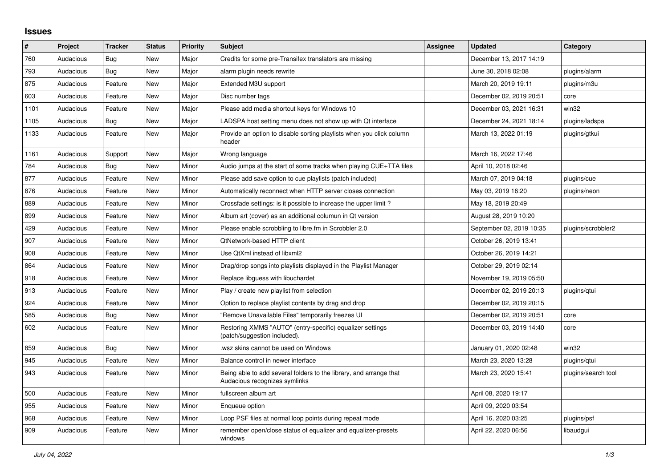## **Issues**

| ∦    | Project   | <b>Tracker</b> | <b>Status</b> | <b>Priority</b> | <b>Subject</b>                                                                                      | Assignee | <b>Updated</b>           | Category            |
|------|-----------|----------------|---------------|-----------------|-----------------------------------------------------------------------------------------------------|----------|--------------------------|---------------------|
| 760  | Audacious | Bug            | <b>New</b>    | Major           | Credits for some pre-Transifex translators are missing                                              |          | December 13, 2017 14:19  |                     |
| 793  | Audacious | Bug            | New           | Major           | alarm plugin needs rewrite                                                                          |          | June 30, 2018 02:08      | plugins/alarm       |
| 875  | Audacious | Feature        | <b>New</b>    | Major           | Extended M3U support                                                                                |          | March 20, 2019 19:11     | plugins/m3u         |
| 603  | Audacious | Feature        | New           | Major           | Disc number tags                                                                                    |          | December 02, 2019 20:51  | core                |
| 1101 | Audacious | Feature        | <b>New</b>    | Major           | Please add media shortcut keys for Windows 10                                                       |          | December 03, 2021 16:31  | win32               |
| 1105 | Audacious | Bug            | <b>New</b>    | Major           | LADSPA host setting menu does not show up with Qt interface                                         |          | December 24, 2021 18:14  | plugins/ladspa      |
| 1133 | Audacious | Feature        | New           | Major           | Provide an option to disable sorting playlists when you click column<br>header                      |          | March 13, 2022 01:19     | plugins/gtkui       |
| 1161 | Audacious | Support        | <b>New</b>    | Major           | Wrong language                                                                                      |          | March 16, 2022 17:46     |                     |
| 784  | Audacious | Bug            | New           | Minor           | Audio jumps at the start of some tracks when playing CUE+TTA files                                  |          | April 10, 2018 02:46     |                     |
| 877  | Audacious | Feature        | New           | Minor           | Please add save option to cue playlists (patch included)                                            |          | March 07, 2019 04:18     | plugins/cue         |
| 876  | Audacious | Feature        | New           | Minor           | Automatically reconnect when HTTP server closes connection                                          |          | May 03, 2019 16:20       | plugins/neon        |
| 889  | Audacious | Feature        | New           | Minor           | Crossfade settings: is it possible to increase the upper limit?                                     |          | May 18, 2019 20:49       |                     |
| 899  | Audacious | Feature        | <b>New</b>    | Minor           | Album art (cover) as an additional columun in Qt version                                            |          | August 28, 2019 10:20    |                     |
| 429  | Audacious | Feature        | <b>New</b>    | Minor           | Please enable scrobbling to libre.fm in Scrobbler 2.0                                               |          | September 02, 2019 10:35 | plugins/scrobbler2  |
| 907  | Audacious | Feature        | New           | Minor           | <b>QtNetwork-based HTTP client</b>                                                                  |          | October 26, 2019 13:41   |                     |
| 908  | Audacious | Feature        | New           | Minor           | Use QtXml instead of libxml2                                                                        |          | October 26, 2019 14:21   |                     |
| 864  | Audacious | Feature        | <b>New</b>    | Minor           | Drag/drop songs into playlists displayed in the Playlist Manager                                    |          | October 29, 2019 02:14   |                     |
| 918  | Audacious | Feature        | New           | Minor           | Replace libguess with libuchardet                                                                   |          | November 19, 2019 05:50  |                     |
| 913  | Audacious | Feature        | <b>New</b>    | Minor           | Play / create new playlist from selection                                                           |          | December 02, 2019 20:13  | plugins/qtui        |
| 924  | Audacious | Feature        | <b>New</b>    | Minor           | Option to replace playlist contents by drag and drop                                                |          | December 02, 2019 20:15  |                     |
| 585  | Audacious | Bug            | <b>New</b>    | Minor           | "Remove Unavailable Files" temporarily freezes UI                                                   |          | December 02, 2019 20:51  | core                |
| 602  | Audacious | Feature        | <b>New</b>    | Minor           | Restoring XMMS "AUTO" (entry-specific) equalizer settings<br>(patch/suggestion included).           |          | December 03, 2019 14:40  | core                |
| 859  | Audacious | <b>Bug</b>     | <b>New</b>    | Minor           | wsz skins cannot be used on Windows                                                                 |          | January 01, 2020 02:48   | win32               |
| 945  | Audacious | Feature        | New           | Minor           | Balance control in newer interface                                                                  |          | March 23, 2020 13:28     | plugins/gtui        |
| 943  | Audacious | Feature        | New           | Minor           | Being able to add several folders to the library, and arrange that<br>Audacious recognizes symlinks |          | March 23, 2020 15:41     | plugins/search tool |
| 500  | Audacious | Feature        | New           | Minor           | fullscreen album art                                                                                |          | April 08, 2020 19:17     |                     |
| 955  | Audacious | Feature        | <b>New</b>    | Minor           | Enqueue option                                                                                      |          | April 09, 2020 03:54     |                     |
| 968  | Audacious | Feature        | New           | Minor           | Loop PSF files at normal loop points during repeat mode                                             |          | April 16, 2020 03:25     | plugins/psf         |
| 909  | Audacious | Feature        | <b>New</b>    | Minor           | remember open/close status of equalizer and equalizer-presets<br>windows                            |          | April 22, 2020 06:56     | libaudgui           |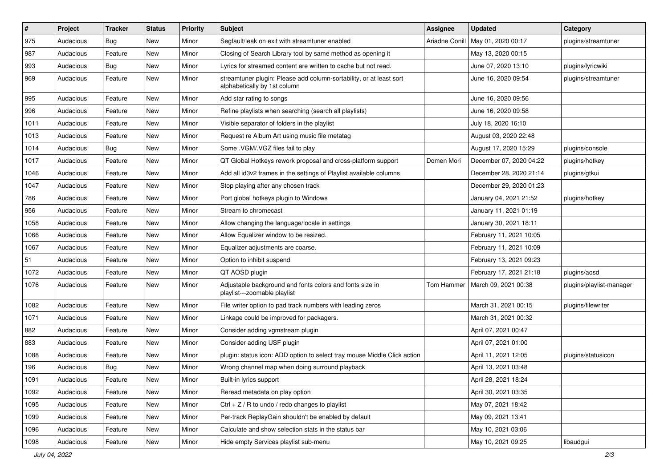| $\#$ | Project   | <b>Tracker</b> | <b>Status</b> | <b>Priority</b> | <b>Subject</b>                                                                                      | <b>Assignee</b> | <b>Updated</b>          | Category                 |
|------|-----------|----------------|---------------|-----------------|-----------------------------------------------------------------------------------------------------|-----------------|-------------------------|--------------------------|
| 975  | Audacious | Bug            | New           | Minor           | Segfault/leak on exit with streamtuner enabled                                                      | Ariadne Conill  | May 01, 2020 00:17      | plugins/streamtuner      |
| 987  | Audacious | Feature        | New           | Minor           | Closing of Search Library tool by same method as opening it                                         |                 | May 13, 2020 00:15      |                          |
| 993  | Audacious | <b>Bug</b>     | New           | Minor           | Lyrics for streamed content are written to cache but not read.                                      |                 | June 07, 2020 13:10     | plugins/lyricwiki        |
| 969  | Audacious | Feature        | New           | Minor           | streamtuner plugin: Please add column-sortability, or at least sort<br>alphabetically by 1st column |                 | June 16, 2020 09:54     | plugins/streamtuner      |
| 995  | Audacious | Feature        | New           | Minor           | Add star rating to songs                                                                            |                 | June 16, 2020 09:56     |                          |
| 996  | Audacious | Feature        | New           | Minor           | Refine playlists when searching (search all playlists)                                              |                 | June 16, 2020 09:58     |                          |
| 1011 | Audacious | Feature        | New           | Minor           | Visible separator of folders in the playlist                                                        |                 | July 18, 2020 16:10     |                          |
| 1013 | Audacious | Feature        | New           | Minor           | Request re Album Art using music file metatag                                                       |                 | August 03, 2020 22:48   |                          |
| 1014 | Audacious | <b>Bug</b>     | New           | Minor           | Some .VGM/.VGZ files fail to play                                                                   |                 | August 17, 2020 15:29   | plugins/console          |
| 1017 | Audacious | Feature        | New           | Minor           | QT Global Hotkeys rework proposal and cross-platform support                                        | Domen Mori      | December 07, 2020 04:22 | plugins/hotkey           |
| 1046 | Audacious | Feature        | New           | Minor           | Add all id3v2 frames in the settings of Playlist available columns                                  |                 | December 28, 2020 21:14 | plugins/gtkui            |
| 1047 | Audacious | Feature        | New           | Minor           | Stop playing after any chosen track                                                                 |                 | December 29, 2020 01:23 |                          |
| 786  | Audacious | Feature        | New           | Minor           | Port global hotkeys plugin to Windows                                                               |                 | January 04, 2021 21:52  | plugins/hotkey           |
| 956  | Audacious | Feature        | New           | Minor           | Stream to chromecast                                                                                |                 | January 11, 2021 01:19  |                          |
| 1058 | Audacious | Feature        | New           | Minor           | Allow changing the language/locale in settings                                                      |                 | January 30, 2021 18:11  |                          |
| 1066 | Audacious | Feature        | New           | Minor           | Allow Equalizer window to be resized.                                                               |                 | February 11, 2021 10:05 |                          |
| 1067 | Audacious | Feature        | New           | Minor           | Equalizer adjustments are coarse.                                                                   |                 | February 11, 2021 10:09 |                          |
| 51   | Audacious | Feature        | New           | Minor           | Option to inhibit suspend                                                                           |                 | February 13, 2021 09:23 |                          |
| 1072 | Audacious | Feature        | New           | Minor           | QT AOSD plugin                                                                                      |                 | February 17, 2021 21:18 | plugins/aosd             |
| 1076 | Audacious | Feature        | New           | Minor           | Adjustable background and fonts colors and fonts size in<br>playlist---zoomable playlist            | Tom Hammer      | March 09, 2021 00:38    | plugins/playlist-manager |
| 1082 | Audacious | Feature        | New           | Minor           | File writer option to pad track numbers with leading zeros                                          |                 | March 31, 2021 00:15    | plugins/filewriter       |
| 1071 | Audacious | Feature        | New           | Minor           | Linkage could be improved for packagers.                                                            |                 | March 31, 2021 00:32    |                          |
| 882  | Audacious | Feature        | New           | Minor           | Consider adding vgmstream plugin                                                                    |                 | April 07, 2021 00:47    |                          |
| 883  | Audacious | Feature        | New           | Minor           | Consider adding USF plugin                                                                          |                 | April 07, 2021 01:00    |                          |
| 1088 | Audacious | Feature        | New           | Minor           | plugin: status icon: ADD option to select tray mouse Middle Click action                            |                 | April 11, 2021 12:05    | plugins/statusicon       |
| 196  | Audacious | <b>Bug</b>     | New           | Minor           | Wrong channel map when doing surround playback                                                      |                 | April 13, 2021 03:48    |                          |
| 1091 | Audacious | Feature        | New           | Minor           | Built-in lyrics support                                                                             |                 | April 28, 2021 18:24    |                          |
| 1092 | Audacious | Feature        | New           | Minor           | Reread metadata on play option                                                                      |                 | April 30, 2021 03:35    |                          |
| 1095 | Audacious | Feature        | New           | Minor           | $Ctrl + Z / R$ to undo / redo changes to playlist                                                   |                 | May 07, 2021 18:42      |                          |
| 1099 | Audacious | Feature        | New           | Minor           | Per-track ReplayGain shouldn't be enabled by default                                                |                 | May 09, 2021 13:41      |                          |
| 1096 | Audacious | Feature        | New           | Minor           | Calculate and show selection stats in the status bar                                                |                 | May 10, 2021 03:06      |                          |
| 1098 | Audacious | Feature        | New           | Minor           | Hide empty Services playlist sub-menu                                                               |                 | May 10, 2021 09:25      | libaudgui                |